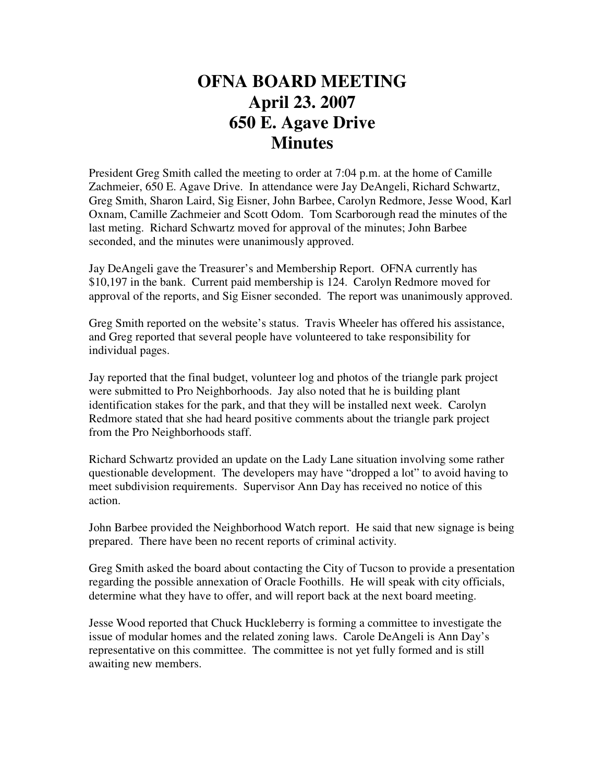## **OFNA BOARD MEETING April 23. 2007 650 E. Agave Drive Minutes**

President Greg Smith called the meeting to order at 7:04 p.m. at the home of Camille Zachmeier, 650 E. Agave Drive. In attendance were Jay DeAngeli, Richard Schwartz, Greg Smith, Sharon Laird, Sig Eisner, John Barbee, Carolyn Redmore, Jesse Wood, Karl Oxnam, Camille Zachmeier and Scott Odom. Tom Scarborough read the minutes of the last meting. Richard Schwartz moved for approval of the minutes; John Barbee seconded, and the minutes were unanimously approved.

Jay DeAngeli gave the Treasurer's and Membership Report. OFNA currently has \$10,197 in the bank. Current paid membership is 124. Carolyn Redmore moved for approval of the reports, and Sig Eisner seconded. The report was unanimously approved.

Greg Smith reported on the website's status. Travis Wheeler has offered his assistance, and Greg reported that several people have volunteered to take responsibility for individual pages.

Jay reported that the final budget, volunteer log and photos of the triangle park project were submitted to Pro Neighborhoods. Jay also noted that he is building plant identification stakes for the park, and that they will be installed next week. Carolyn Redmore stated that she had heard positive comments about the triangle park project from the Pro Neighborhoods staff.

Richard Schwartz provided an update on the Lady Lane situation involving some rather questionable development. The developers may have "dropped a lot" to avoid having to meet subdivision requirements. Supervisor Ann Day has received no notice of this action.

John Barbee provided the Neighborhood Watch report. He said that new signage is being prepared. There have been no recent reports of criminal activity.

Greg Smith asked the board about contacting the City of Tucson to provide a presentation regarding the possible annexation of Oracle Foothills. He will speak with city officials, determine what they have to offer, and will report back at the next board meeting.

Jesse Wood reported that Chuck Huckleberry is forming a committee to investigate the issue of modular homes and the related zoning laws. Carole DeAngeli is Ann Day's representative on this committee. The committee is not yet fully formed and is still awaiting new members.